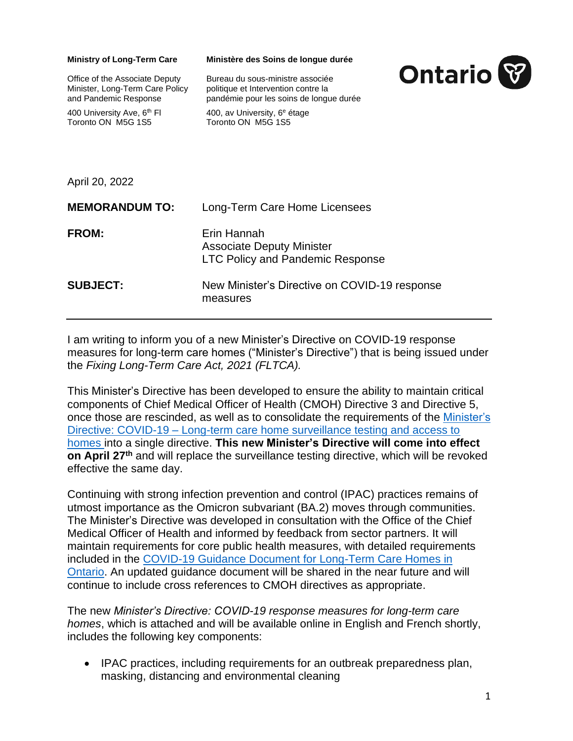| <b>Ministry of Long-Term Care</b><br>Office of the Associate Deputy<br>Minister, Long-Term Care Policy<br>and Pandemic Response<br>400 University Ave, 6 <sup>th</sup> FI<br>Toronto ON M5G 1S5 | Ministère des Soins de longue durée<br>Bureau du sous-ministre associée<br>politique et Intervention contre la<br>pandémie pour les soins de longue durée<br>400, av University, 6 <sup>e</sup> étage<br>Toronto ON M5G 1S5 | <b>Ontario</b> |
|-------------------------------------------------------------------------------------------------------------------------------------------------------------------------------------------------|-----------------------------------------------------------------------------------------------------------------------------------------------------------------------------------------------------------------------------|----------------|
| April 20, 2022                                                                                                                                                                                  |                                                                                                                                                                                                                             |                |
| <b>MEMORANDUM TO:</b>                                                                                                                                                                           | Long-Term Care Home Licensees                                                                                                                                                                                               |                |
| <b>FROM:</b>                                                                                                                                                                                    | Erin Hannah<br><b>Associate Deputy Minister</b><br><b>LTC Policy and Pandemic Response</b>                                                                                                                                  |                |
| <b>SUBJECT:</b>                                                                                                                                                                                 | New Minister's Directive on COVID-19 response<br>measures                                                                                                                                                                   |                |

I am writing to inform you of a new Minister's Directive on COVID-19 response measures for long-term care homes ("Minister's Directive") that is being issued under the *Fixing Long-Term Care Act, 2021 (FLTCA).* 

This Minister's Directive has been developed to ensure the ability to maintain critical components of Chief Medical Officer of Health (CMOH) Directive 3 and Directive 5, once those are rescinded, as well as to consolidate the requirements of the [Minister's](https://www.ontario.ca/page/covid-19-long-term-care-home-surveillance-testing)  Directive: COVID-19 – [Long-term care home surveillance testing and access to](https://www.ontario.ca/page/covid-19-long-term-care-home-surveillance-testing)  [homes](https://www.ontario.ca/page/covid-19-long-term-care-home-surveillance-testing) into a single directive. **This new Minister's Directive will come into effect on April 27th** and will replace the surveillance testing directive, which will be revoked effective the same day.

Continuing with strong infection prevention and control (IPAC) practices remains of utmost importance as the Omicron subvariant (BA.2) moves through communities. The Minister's Directive was developed in consultation with the Office of the Chief Medical Officer of Health and informed by feedback from sector partners. It will maintain requirements for core public health measures, with detailed requirements included in the [COVID-19 Guidance Document for Long-Term Care Homes in](https://www.ontario.ca/page/covid-19-guidance-document-long-term-care-homes-ontario)  [Ontario.](https://www.ontario.ca/page/covid-19-guidance-document-long-term-care-homes-ontario) An updated guidance document will be shared in the near future and will continue to include cross references to CMOH directives as appropriate.

The new *Minister's Directive: COVID-19 response measures for long-term care homes*, which is attached and will be available online in English and French shortly, includes the following key components:

• IPAC practices, including requirements for an outbreak preparedness plan, masking, distancing and environmental cleaning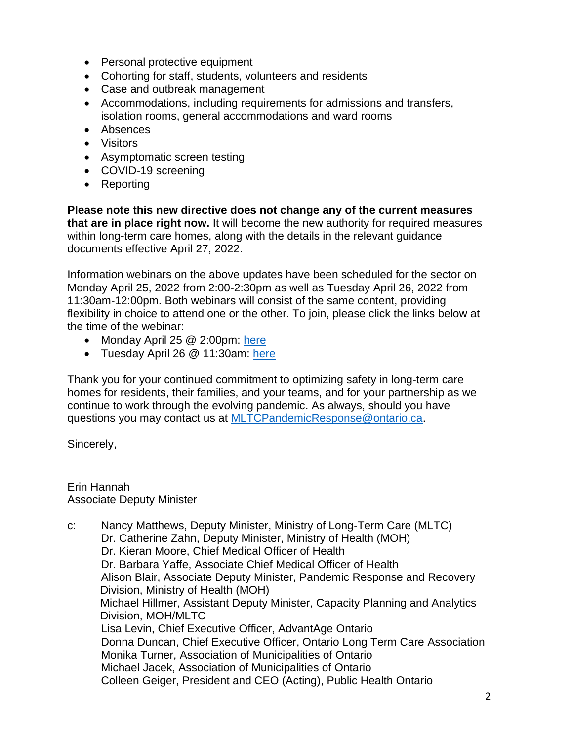- Personal protective equipment
- Cohorting for staff, students, volunteers and residents
- Case and outbreak management
- Accommodations, including requirements for admissions and transfers, isolation rooms, general accommodations and ward rooms
- Absences
- Visitors
- Asymptomatic screen testing
- COVID-19 screening
- Reporting

**Please note this new directive does not change any of the current measures that are in place right now.** It will become the new authority for required measures within long-term care homes, along with the details in the relevant guidance documents effective April 27, 2022.

Information webinars on the above updates have been scheduled for the sector on Monday April 25, 2022 from 2:00-2:30pm as well as Tuesday April 26, 2022 from 11:30am-12:00pm. Both webinars will consist of the same content, providing flexibility in choice to attend one or the other. To join, please click the links below at the time of the webinar:

- Monday April 25 @ 2:00pm: [here](https://us06web.zoom.us/j/89353478667?pwd=Z2hLbWxQb2VoeGd0Wkx1c0FZNHZhdz09)
- Tuesday April 26 @ 11:30am: [here](https://us06web.zoom.us/j/85623646303?pwd=TDZmWHd4Wk01UlFWM2p4YmtJeFE2Zz09)

Thank you for your continued commitment to optimizing safety in long-term care homes for residents, their families, and your teams, and for your partnership as we continue to work through the evolving pandemic. As always, should you have questions you may contact us at [MLTCPandemicResponse@ontario.ca.](mailto:MLTCPandemicResponse@ontario.ca)

Sincerely,

Erin Hannah Associate Deputy Minister

c: Nancy Matthews, Deputy Minister, Ministry of Long-Term Care (MLTC) Dr. Catherine Zahn, Deputy Minister, Ministry of Health (MOH) Dr. Kieran Moore, Chief Medical Officer of Health Dr. Barbara Yaffe, Associate Chief Medical Officer of Health Alison Blair, Associate Deputy Minister, Pandemic Response and Recovery Division, Ministry of Health (MOH) Michael Hillmer, Assistant Deputy Minister, Capacity Planning and Analytics Division, MOH/MLTC Lisa Levin, Chief Executive Officer, AdvantAge Ontario Donna Duncan, Chief Executive Officer, Ontario Long Term Care Association Monika Turner, Association of Municipalities of Ontario Michael Jacek, Association of Municipalities of Ontario Colleen Geiger, President and CEO (Acting), Public Health Ontario